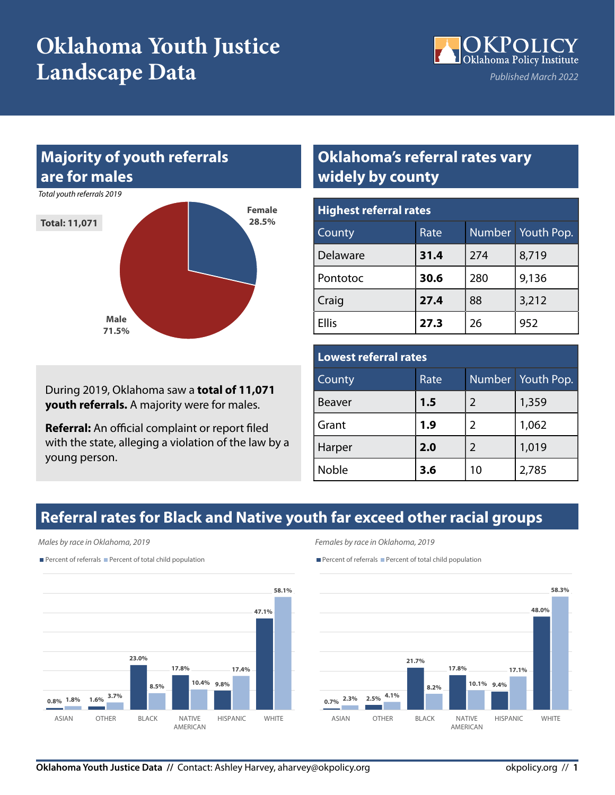## **Oklahoma Youth Justice Landscape Data**



#### **Majority of youth referrals are for males**

*Total youth referrals 2019*



During 2019, Oklahoma saw a **total of 11,071 youth referrals.** A majority were for males.

**Referral:** An official complaint or report filed with the state, alleging a violation of the law by a young person.

#### **Oklahoma's referral rates vary widely by county**

| <b>Highest referral rates</b> |      |     |                   |  |  |
|-------------------------------|------|-----|-------------------|--|--|
| County                        | Rate |     | Number Youth Pop. |  |  |
| Delaware                      | 31.4 | 274 | 8,719             |  |  |
| Pontotoc                      | 30.6 | 280 | 9,136             |  |  |
| Craig                         | 27.4 | 88  | 3,212             |  |  |
| <b>Ellis</b>                  | 27.3 | 26  | 952               |  |  |

#### **Lowest referral rates**

| County        | Rate |                | Number Youth Pop. |
|---------------|------|----------------|-------------------|
| <b>Beaver</b> | 1.5  | 2              | 1,359             |
| Grant         | 1.9  | $\overline{2}$ | 1,062             |
| Harper        | 2.0  | $\mathcal{P}$  | 1,019             |
| Noble         | 3.6  | 10             | 2,785             |

### **Referral rates for Black and Native youth far exceed other racial groups**

#### *Males by race in Oklahoma, 2019*

Percent of referrals Percent of total child population



*Females by race in Oklahoma, 2019*

Percent of referrals Percent of total child population

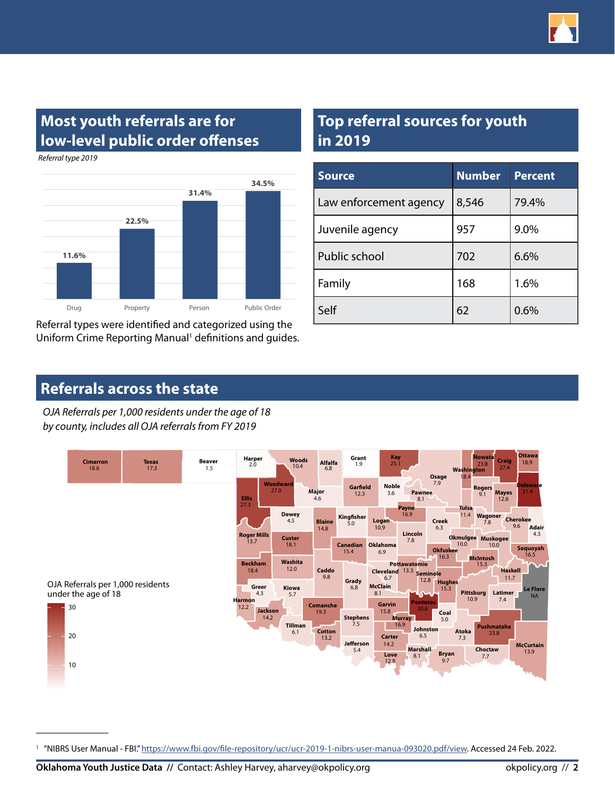

#### **Most youth referrals are for low-level public order offenses**

*Referral type 2019*

\_\_\_\_\_\_\_\_\_\_\_\_



Referral types were identified and categorized using the Uniform Crime Reporting Manual<sup>1</sup> definitions and guides.

#### **Top referral sources for youth in 2019**

| <b>Source</b>          | <b>Number</b> | <b>Percent</b> |
|------------------------|---------------|----------------|
| Law enforcement agency | 8,546         | 79.4%          |
| Juvenile agency        | 957           | 9.0%           |
| Public school          | 702           | 6.6%           |
| Family                 | 168           | 1.6%           |
| Self                   | 62            | 0.6%           |

#### **Referrals across the state**

*by county, includes all OJA referrals from FY 2019 OJA Referrals per 1,000 residents under the age of 18*



<sup>&</sup>lt;sup>1</sup> "NIBRS User Manual - FBI." <https://www.fbi.gov/file-repository/ucr/ucr-2019-1-nibrs-user-manua-093020.pdf/view>. Accessed 24 Feb. 2022.